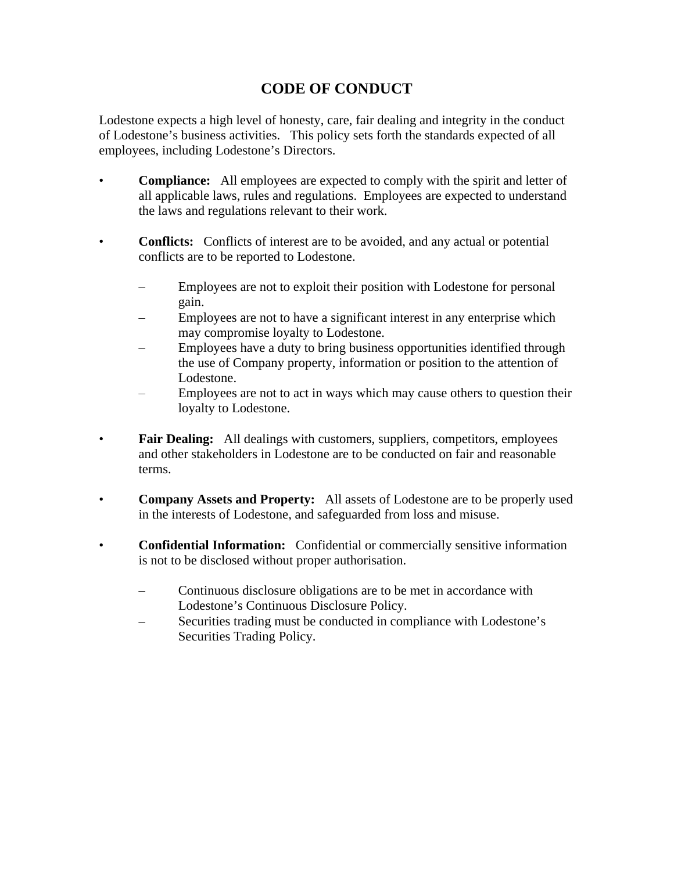## **CODE OF CONDUCT**

Lodestone expects a high level of honesty, care, fair dealing and integrity in the conduct of Lodestone's business activities. This policy sets forth the standards expected of all employees, including Lodestone's Directors.

- **Compliance:** All employees are expected to comply with the spirit and letter of all applicable laws, rules and regulations. Employees are expected to understand the laws and regulations relevant to their work.
- **Conflicts:** Conflicts of interest are to be avoided, and any actual or potential conflicts are to be reported to Lodestone.
	- Employees are not to exploit their position with Lodestone for personal gain.
	- Employees are not to have a significant interest in any enterprise which may compromise loyalty to Lodestone.
	- Employees have a duty to bring business opportunities identified through the use of Company property, information or position to the attention of Lodestone.
	- Employees are not to act in ways which may cause others to question their loyalty to Lodestone.
- **Fair Dealing:** All dealings with customers, suppliers, competitors, employees and other stakeholders in Lodestone are to be conducted on fair and reasonable terms.
- **Company Assets and Property:** All assets of Lodestone are to be properly used in the interests of Lodestone, and safeguarded from loss and misuse.
- **Confidential Information:** Confidential or commercially sensitive information is not to be disclosed without proper authorisation.
	- Continuous disclosure obligations are to be met in accordance with Lodestone's Continuous Disclosure Policy.
	- Securities trading must be conducted in compliance with Lodestone's Securities Trading Policy.